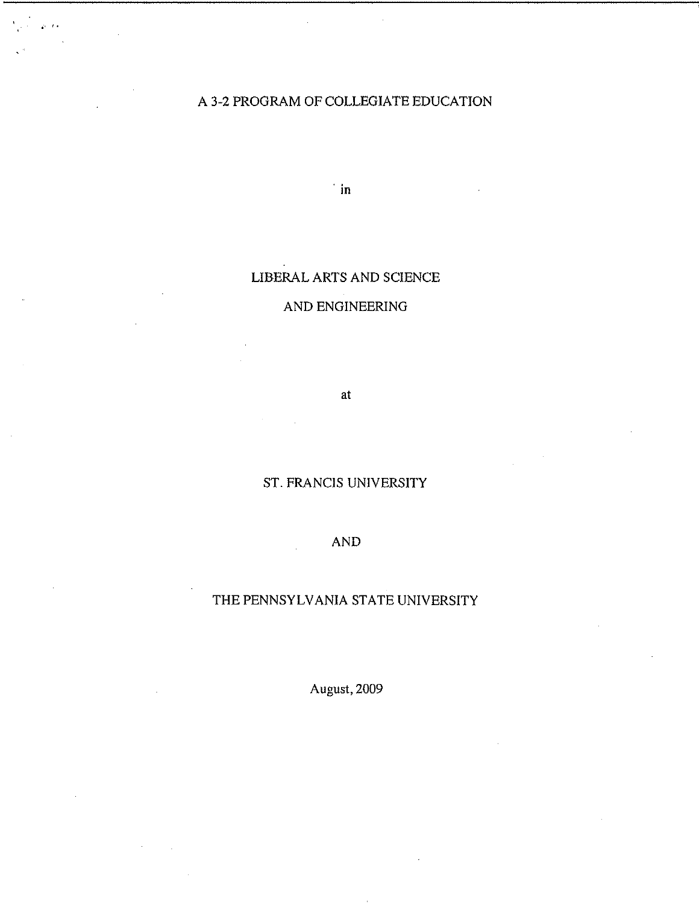## A 3-2 PROGRAM OF COLLEGIATE EDUCATION

 $\mathbf{r}$ 

**in**

## LIBERAL ARTS AND SCIENCE

## AND ENGINEERING

at

# ST. FRANCIS UNIVERSITY

## AND

## THE PENNSYLVANIA STATE UNIVERSITY

August, 2009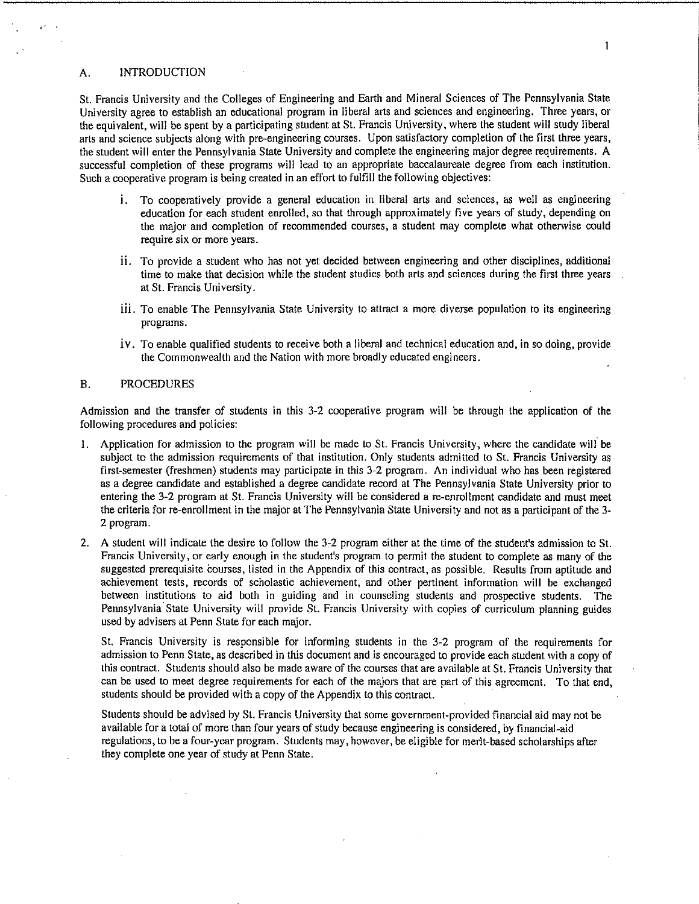#### $\mathbf{1}$

#### A. INTRODUCTION

St. Francis University and the Colleges of Engineering and Earth and Mineral Sciences of The Pennsylvania State University agree to establish an educational program in liberal arts and sciences and engineering. Three years, or the equivalent, will be spent by a participating student at St. Francis University, where the student will study liberal arts and science subjects along with pre-engineering courses. Upon satisfactory completion of the first three years, the student will enter the Pennsylvania State University and complete the engineering major degree requirements. A successful completion of these programs will lead to an appropriate baccalaureate degree from each institution. Such a cooperative program is being created in an effort to fulfill the following objectives:

- i. To cooperatively provide a general education in liberal arts and sciences, as well as engineering education for each student enrolled, so that through approximately five years of study, depending on the major and completion of recommended courses, a student may complete what otherwise could require six or more years.
- ii. To provide a student who has not yet decided between engineering and other disciplines, additional time to make that decision while the student studies both arts and sciences during the first three years at St. Francis University.
- iii. To enable The Pennsylvania State University to attract a more diverse population to its engineering programs.
- iv. To enable qualified students to receive both a liberal and technical education and, in so doing, provide the Commonwealth and the Nation with more broadly educated engineers.

#### B. PROCEDURES

Admission and the transfer of students in this 3-2 cooperative program will be through the application of the following procedures and policies:

- 1. Application for admission to the program will be made to St. Francis University, where the candidate will be subject to the admission requirements of that institution. Only students admitted to St. Francis University as first-semester (freshmen) students may participate in this 3-2 program. An individual who has been registered as a degree candidate and established a degree candidate record at The Pennsylvania State University prior to entering the 3-2 program at St. Francis University will be considered a re-enrollment candidate and must meet the criteria for re-enrollment in the major at The Pennsylvania State University and not as a participant of the 3- 2 program.
- 2. A student will indicate the desire to follow the 3-2 program either at the time of the student's admission to St. Francis University, or early enough in the student's program to permit the student to complete as many of the suggested prerequisite courses, listed in the Appendix of this contract, as possible. Results from aptitude and achievement tests, records of scholastic achievement, and other pertinent information will be exchanged between institutions to aid both in guiding and in counseling students and prospective students. The Pennsylvania State University will provide St. Francis University with copies of curriculum planning guides used by advisers at Penn State for each major.

St. Francis University is responsible for informing students in the 3-2 program of the requirements for admission to Penn State, as described in this document and is encouraged to provide each student with a copy of this contract. Students should also be made aware of the courses that are available at St. Francis University that can be used to meet degree requirements for each of the majors that are part of this agreement. To that end, students should be provided with a copy of the Appendix to this contract.

Students should be advised by St. Francis University that some government-provided financial aid may not be available for a total of more than four years of study because engineering is considered, by financial-aid regulations, to be a four-year program. Students may, however, be eligible for merit-based scholarships after they complete one year of study at Penn State.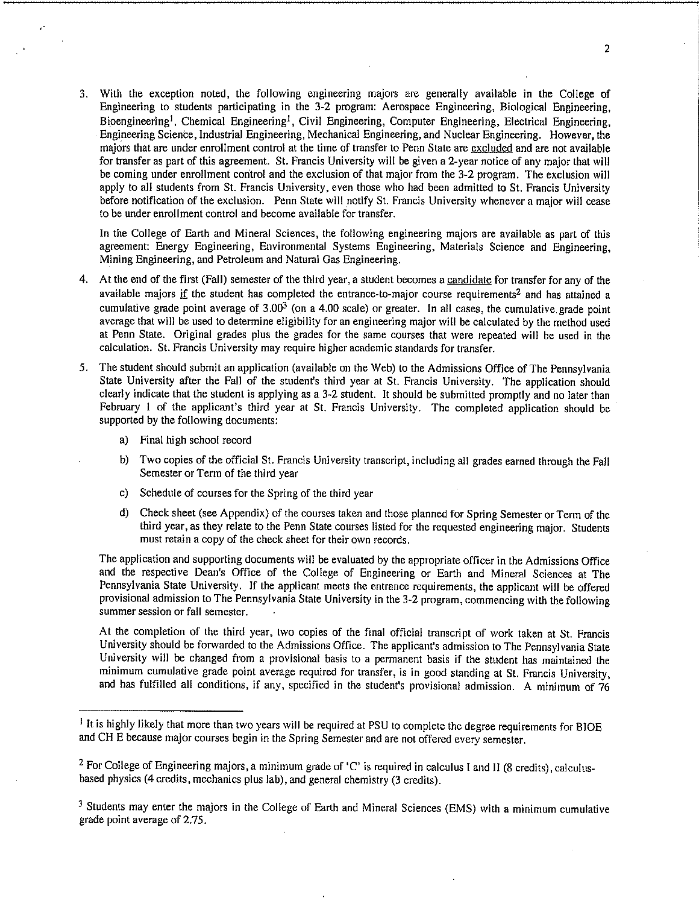3. With the exception noted, the following engineering majors are generally available in the College of Engineering to students participating in the 3-2 program: Aerospace Engineering, Biological Engineering, Bioengineering<sup>1</sup>, Chemical Engineering<sup>1</sup>, Civil Engineering, Computer Engineering, Electrical Engineering, Engineering Science, Industrial Engineering, Mechanical Engineering, and Nuclear Engineering. However, the majors that are under enrollment control at the time of transfer to Penn State are excluded and are not available for transfer as part of this agreement. St. Francis University will be given a 2-year notice of any major that will be coming under enrollment control and the exclusion of that major from the 3-2 program. The exclusion will apply to all students from St. Francis University, even those who had been admitted to St. Francis University before notification of the exclusion. Penn State will notify St. Francis University whenever a major will cease to be under enrollment control and become available for transfer.

In the College of Earth and Mineral Sciences, the following engineering majors are available as part of this agreement: Energy Engineering, Environmental Systems Engineering, Materials Science and Engineering, Mining Engineering, and Petroleum and Natural Gas Engineering.

- 4. At the end of the first (Fall) semester of the third year, a student becomes a candidate for transfer for any of the available majors if the student has completed the entrance-to-major course requirements<sup>2</sup> and has attained a cumulative grade point average of  $3.00<sup>3</sup>$  (on a 4.00 scale) or greater. In all cases, the cumulative grade point average that will be used to determine eligibility for an engineering major will be calculated by the method used at Penn State. Original grades plus the grades for the same courses that were repeated will be used in the calculation. St. Francis University may require higher academic standards for transfer.
- 5. The student should submit an application (available on the Web) to the Admissions Office of The Pennsylvania State University after the Fall of the student's third year at St. Francis University. The application should clearly indicate that the student is applying as a 3-2 student. It should be submitted promptly and no later than February 1 of the applicant's third year at St. Francis University. The completed application should be supported by the following documents:
	- a) Final high school record
	- b) Two copies of the official St. Francis University transcript, including all grades earned through the Fall Semester or Term of the third year
	- c) Schedule of courses for the Spring of the third year
	- d) Check sheet (see Appendix) of the courses taken and those planned for Spring Semester or Term of the third year, as they relate to the Penn State courses listed for the requested engineering major. Students must retain a copy of the check sheet for their own records.

The application and supporting documents will be evaluated by the appropriate officer in the Admissions Office and the respective Dean's Office of the College of Engineering or Earth and Mineral Sciences at The Pennsylvania State University. If the applicant meets the entrance requirements, the applicant will be offered provisional admission to The Pennsylvania State University in the 3-2 program, commencing with the following summer session or fall semester.

At the completion of the third year, two copies of the final official transcript of work taken at St. Francis University should be forwarded to the Admissions Office. The applicant's admission to The Pennsylvania State University will be changed from a provisional basis to a permanent basis if the student has maintained the minimum cumulative grade point average required for transfer, is in good standing at St. Francis University, and has fulfilled all conditions, if any, specified in the student's provisional admission. A minimum of 76

<sup>&</sup>lt;sup>1</sup> It is highly likely that more than two years will be required at PSU to complete the degree requirements for BIOE and CH E because major courses begin in the Spring Semester and are not offered every semester.

<sup>&</sup>lt;sup>2</sup> For College of Engineering majors, a minimum grade of 'C' is required in calculus I and II (8 credits), calculusbased physics (4 credits, mechanics plus lab), and general chemistry (3 credits).

<sup>&</sup>lt;sup>3</sup> Students may enter the majors in the College of Earth and Mineral Sciences (EMS) with a minimum cumulative grade point average of 2.75.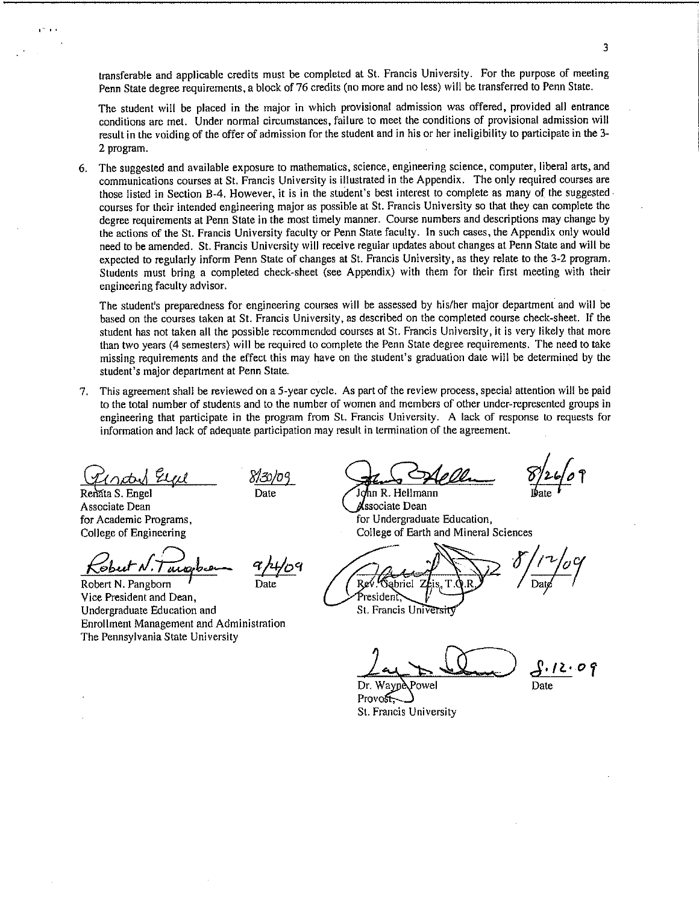transferable and applicable credits must be completed at St. Francis University. For the purpose of meeting Penn State degree requirements, a block of 76 credits (no more and no less) will be transferred to Penn State.

The student will be placed in the major in which provisional admission was offered, provided all entrance conditions are met. Under normal circumstances, failure to meet the conditions of provisional admission will result in the voiding of the offer of admission for the student and in his or her ineligibility to participate in the 3- 2 program.

The suggested and available exposure to mathematics, science, engineering science, computer, liberal arts, and 6. communications courses at St. Francis University is illustrated in the Appendix. The only required courses are those listed in Section B-4. However, it is in the student's best interest to complete as many of the suggested courses for their intended engineering major as possible at St. Francis University so that they can complete the degree requirements at Penn State in the most timely manner. Course numbers and descriptions may change by the actions of the St. Francis University faculty or Penn State faculty. In such cases, the Appendix only would need to be amended. St. Francis University will receive regular updates about changes at Penn State and will be expected to regularly inform Penn State of changes at St. Francis University, as they relate to the 3-2 program. Students must bring a completed check-sheet (see Appendix) with them for their first meeting with their engineering faculty advisor.

The student's preparedness for engineering courses will be assessed by his/her major department and will be based on the courses taken at St. Francis University, as described on the completed course check-sheet. If the student has not taken all the possible recommended courses at St. Francis University, it is very likely that more than two years (4 semesters) will be required to complete the Penn State degree requirements. The need to take missing requirements and the effect this may have on the student's graduation date will be determined by the student's major department at Penn State.

This agreement shall be reviewed on a 5-year cycle. As part of the review process, special attention will be paid **7.** to the total number of students and to the number of women and members of other under-represented groups in engineering that participate in the program from St. Francis University. A lack of response to requests for information and lack of adequate participation may result in termination of the agreement.

Renata S. Engel Associate Dean for Academic Programs, College of Engineering

umo

Robert N. Pangborn  $\overline{I}$  Date Vice President and Dean, Undergraduate Education and Enrollment Management and Administration The Pennsylvania State University

 $Z_{\mathcal{U}}$   $Z_{\mathcal{U}}$   $Z_{\mathcal{U}}$   $Z_{\mathcal{U}}$   $Z_{\mathcal{U}}$   $Z_{\mathcal{U}}$ Date **John R. Hellmann** 

**Associate Dean** for Undergraduate Education, College of Earth and Mineral Sciences

Re 'Sabriel President. St. Francis Universit

 $\frac{\int \cdot l \lambda \cdot \sigma}{\text{Date}}$ 

Dr. Wayne\Powel Provost St. Francis University

3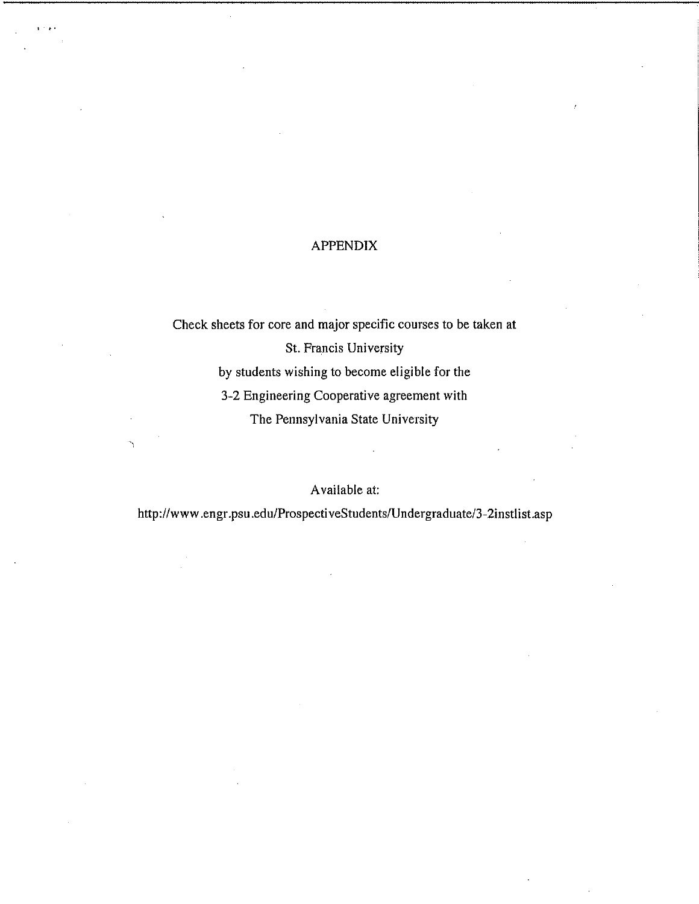## APPENDIX

Check sheets for core and major specific courses to be taken at St. Francis University by students wishing to become eligible for the 3-2 Engineering Cooperative agreement with The Pennsylvania State University

### Available at:

http://www.engr.psu.edu/ProspectiveStudents/Undergraduate/3-2instlist.asp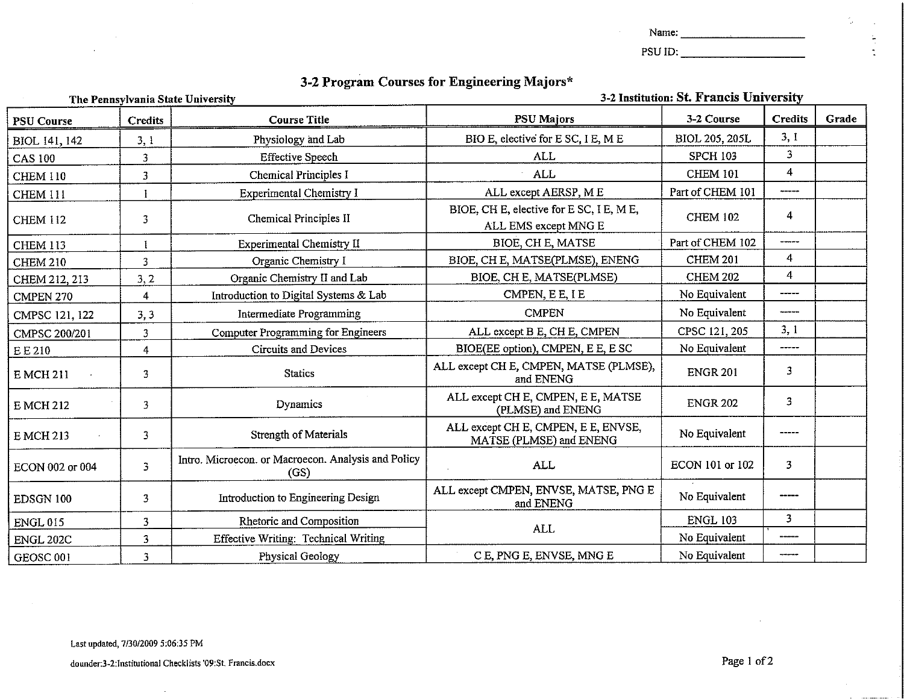| ۰.<br>Name. |  |
|-------------|--|
|-------------|--|

 $\mathcal{L}$ 

PSU ID:

# 3-2 Program Courses for Engineering Majors \*

| The Pennsylvania State University |                |                                                             | 3-2 Institution: St. Francis University                          |                       |                           |       |
|-----------------------------------|----------------|-------------------------------------------------------------|------------------------------------------------------------------|-----------------------|---------------------------|-------|
| <b>PSU Course</b>                 | <b>Credits</b> | <b>Course Title</b>                                         | <b>PSU Majors</b>                                                | 3-2 Course            | <b>Credits</b>            | Grade |
| BIOL 141, 142                     | 3.1            | Physiology and Lab                                          | BIO E, elective for E SC, I E, M E                               | <b>BIOL 205, 205L</b> | 3,1                       |       |
| <b>CAS 100</b>                    | 3              | <b>Effective Speech</b>                                     | ALL                                                              | <b>SPCH 103</b>       | 3                         |       |
| <b>CHEM 110</b>                   | 3              | <b>Chemical Principles I</b>                                | <b>ALL</b>                                                       | <b>CHEM 101</b>       | 4                         |       |
| <b>CHEM 111</b>                   |                | Experimental Chemistry I                                    | ALL except AERSP, M E                                            | Part of CHEM 101      | , , , , , , , , , , , , , |       |
| <b>CHEM 112</b>                   | 3              | Chemical Principles II                                      | BIOE, CH E, elective for E SC, I E, M E,<br>ALL EMS except MNG E | <b>CHEM 102</b>       | 4                         |       |
| <b>CHEM 113</b>                   |                | Experimental Chemistry II                                   | BIOE, CH E, MATSE                                                | Part of CHEM 102      | .                         |       |
| <b>CHEM 210</b>                   | 3              | Organic Chemistry I                                         | BIOE, CH E, MATSE(PLMSE), ENENG                                  | <b>CHEM 201</b>       | $\overline{4}$            |       |
| CHEM 212, 213                     | 3, 2           | Organic Chemistry II and Lab                                | BIOE, CH E, MATSE(PLMSE)                                         | <b>CHEM 202</b>       | 4                         |       |
| CMPEN 270                         | 4              | Introduction to Digital Systems & Lab                       | CMPEN, E E, I E                                                  | No Equivalent         |                           |       |
| CMPSC 121, 122                    | 3,3            | Intermediate Programming                                    | <b>CMPEN</b>                                                     | No Equivalent         | -----                     |       |
| CMPSC 200/201                     | 3              | <b>Computer Programming for Engineers</b>                   | ALL except B E, CH E, CMPEN                                      | CPSC 121, 205         | 3,1                       |       |
| EE 210                            | 4              | Circuits and Devices                                        | BIOE(EE option), CMPEN, E E, E SC                                | No Equivalent         | $------$                  |       |
| <b>E MCH 211</b>                  | 3              | <b>Statics</b>                                              | ALL except CH E, CMPEN, MATSE (PLMSE),<br>and ENENG              | <b>ENGR 201</b>       | 3                         |       |
| <b>E MCH 212</b>                  | 3              | <b>Dynamics</b>                                             | ALL except CH E, CMPEN, E E, MATSE<br>(PLMSE) and ENENG          | <b>ENGR 202</b>       | 3                         |       |
| <b>E MCH 213</b>                  | 3              | Strength of Materials                                       | ALL except CH E, CMPEN, E E, ENVSE,<br>MATSE (PLMSE) and ENENG   | No Equivalent         |                           |       |
| ECON 002 or 004                   | 3              | Intro. Microecon. or Macroecon. Analysis and Policy<br>(GS) | <b>ALL</b>                                                       | ECON 101 or 102       | 3                         |       |
| EDSGN 100                         | 3              | Introduction to Engineering Design                          | ALL except CMPEN, ENVSE, MATSE, PNG E<br>and ENENG               | No Equivalent         |                           |       |
| <b>ENGL 015</b>                   | 3              | Rhetoric and Composition                                    | <b>ALL</b>                                                       | <b>ENGL 103</b>       | 3                         |       |
| <b>ENGL 202C</b>                  | 3              | <b>Effective Writing: Technical Writing</b>                 |                                                                  | No Equivalent         | -----                     |       |
| GEOSC <sub>001</sub>              | 3              | Physical Geology                                            | C E, PNG E, ENVSE, MNG E                                         | No Equivalent         | ------                    |       |

 $\sim$